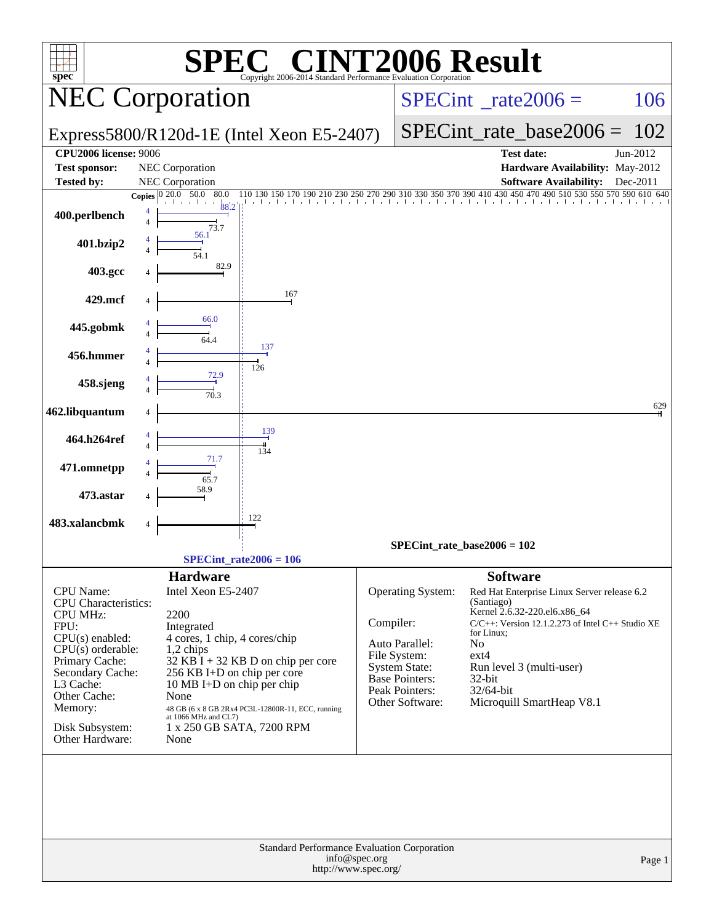| C® CINT2006 Result<br>$spec^*$<br>Copyright 2006-2014 Standard Performance Evaluation Corporation                                                                                                                                          |                                                                                                                                                                                                                                                                                                                                                  |                                                                                                                                          |                                                                                                                                                                                                                                                                                       |  |  |  |  |  |  |
|--------------------------------------------------------------------------------------------------------------------------------------------------------------------------------------------------------------------------------------------|--------------------------------------------------------------------------------------------------------------------------------------------------------------------------------------------------------------------------------------------------------------------------------------------------------------------------------------------------|------------------------------------------------------------------------------------------------------------------------------------------|---------------------------------------------------------------------------------------------------------------------------------------------------------------------------------------------------------------------------------------------------------------------------------------|--|--|--|--|--|--|
|                                                                                                                                                                                                                                            | <b>NEC Corporation</b>                                                                                                                                                                                                                                                                                                                           |                                                                                                                                          | $SPECint^{\circ}$ _rate2006 =<br>106                                                                                                                                                                                                                                                  |  |  |  |  |  |  |
|                                                                                                                                                                                                                                            | Express5800/R120d-1E (Intel Xeon E5-2407)                                                                                                                                                                                                                                                                                                        |                                                                                                                                          | $SPECint_rate\_base2006 =$<br>102                                                                                                                                                                                                                                                     |  |  |  |  |  |  |
| <b>CPU2006 license: 9006</b><br><b>Test sponsor:</b>                                                                                                                                                                                       | NEC Corporation                                                                                                                                                                                                                                                                                                                                  |                                                                                                                                          | <b>Test date:</b><br>Jun-2012<br>Hardware Availability: May-2012                                                                                                                                                                                                                      |  |  |  |  |  |  |
| <b>Tested by:</b>                                                                                                                                                                                                                          | NEC Corporation<br>Copies $\overline{0\ 20.0\ 50.0\ 80.0}$<br>110 130 150 170 190 210 230                                                                                                                                                                                                                                                        |                                                                                                                                          | Software Availability: Dec-2011<br>250 270 290 310 330 350 370 390 410 430 450 470 490 510 530 550 570 590 610 640                                                                                                                                                                    |  |  |  |  |  |  |
| 400.perlbench                                                                                                                                                                                                                              | 88.2<br>4<br>$\overline{4}$<br>73.7                                                                                                                                                                                                                                                                                                              |                                                                                                                                          |                                                                                                                                                                                                                                                                                       |  |  |  |  |  |  |
| 401.bzip2                                                                                                                                                                                                                                  | 56.1                                                                                                                                                                                                                                                                                                                                             |                                                                                                                                          |                                                                                                                                                                                                                                                                                       |  |  |  |  |  |  |
| 403.gcc                                                                                                                                                                                                                                    | 82.9                                                                                                                                                                                                                                                                                                                                             |                                                                                                                                          |                                                                                                                                                                                                                                                                                       |  |  |  |  |  |  |
| 429.mcf                                                                                                                                                                                                                                    | 167                                                                                                                                                                                                                                                                                                                                              |                                                                                                                                          |                                                                                                                                                                                                                                                                                       |  |  |  |  |  |  |
| 445.gobmk                                                                                                                                                                                                                                  | 66.0                                                                                                                                                                                                                                                                                                                                             |                                                                                                                                          |                                                                                                                                                                                                                                                                                       |  |  |  |  |  |  |
| 456.hmmer                                                                                                                                                                                                                                  | 137<br>126                                                                                                                                                                                                                                                                                                                                       |                                                                                                                                          |                                                                                                                                                                                                                                                                                       |  |  |  |  |  |  |
| 458.sjeng                                                                                                                                                                                                                                  | 72.9<br>$\frac{1}{70.3}$                                                                                                                                                                                                                                                                                                                         |                                                                                                                                          |                                                                                                                                                                                                                                                                                       |  |  |  |  |  |  |
| 462.libquantum                                                                                                                                                                                                                             |                                                                                                                                                                                                                                                                                                                                                  |                                                                                                                                          | 629                                                                                                                                                                                                                                                                                   |  |  |  |  |  |  |
| 464.h264ref                                                                                                                                                                                                                                | 139<br>134                                                                                                                                                                                                                                                                                                                                       |                                                                                                                                          |                                                                                                                                                                                                                                                                                       |  |  |  |  |  |  |
| 471.omnetpp                                                                                                                                                                                                                                | 65.7                                                                                                                                                                                                                                                                                                                                             |                                                                                                                                          |                                                                                                                                                                                                                                                                                       |  |  |  |  |  |  |
| 473.astar                                                                                                                                                                                                                                  |                                                                                                                                                                                                                                                                                                                                                  |                                                                                                                                          |                                                                                                                                                                                                                                                                                       |  |  |  |  |  |  |
| 483.xalancbmk                                                                                                                                                                                                                              | 122                                                                                                                                                                                                                                                                                                                                              |                                                                                                                                          |                                                                                                                                                                                                                                                                                       |  |  |  |  |  |  |
|                                                                                                                                                                                                                                            |                                                                                                                                                                                                                                                                                                                                                  | SPECint rate base $2006 = 102$                                                                                                           |                                                                                                                                                                                                                                                                                       |  |  |  |  |  |  |
|                                                                                                                                                                                                                                            | $SPECint_rate2006 = 106$                                                                                                                                                                                                                                                                                                                         |                                                                                                                                          |                                                                                                                                                                                                                                                                                       |  |  |  |  |  |  |
| <b>CPU</b> Name:<br><b>CPU</b> Characteristics:<br><b>CPU MHz:</b><br>FPU:<br>$CPU(s)$ enabled:<br>$CPU(s)$ orderable:<br>Primary Cache:<br>Secondary Cache:<br>L3 Cache:<br>Other Cache:<br>Memory:<br>Disk Subsystem:<br>Other Hardware: | <b>Hardware</b><br>Intel Xeon E5-2407<br>2200<br>Integrated<br>4 cores, 1 chip, 4 cores/chip<br>1,2 chips<br>$32$ KB $\hat{I}$ + 32 KB D on chip per core<br>256 KB I+D on chip per core<br>10 MB I+D on chip per chip<br>None<br>48 GB (6 x 8 GB 2Rx4 PC3L-12800R-11, ECC, running<br>at 1066 MHz and CL7)<br>1 x 250 GB SATA, 7200 RPM<br>None | Operating System:<br>Compiler:<br>Auto Parallel:<br>File System:<br>System State:<br>Base Pointers:<br>Peak Pointers:<br>Other Software: | <b>Software</b><br>Red Hat Enterprise Linux Server release 6.2<br>(Santiago)<br>Kernel 2.6.32-220.el6.x86_64<br>$C/C++$ : Version 12.1.2.273 of Intel $C++$ Studio XE<br>for Linux;<br>No<br>$ext{4}$<br>Run level 3 (multi-user)<br>32-bit<br>32/64-bit<br>Microquill SmartHeap V8.1 |  |  |  |  |  |  |
|                                                                                                                                                                                                                                            | Standard Performance Evaluation Corporation<br>info@spec.org<br>http://www.spec.org/                                                                                                                                                                                                                                                             |                                                                                                                                          | Page 1                                                                                                                                                                                                                                                                                |  |  |  |  |  |  |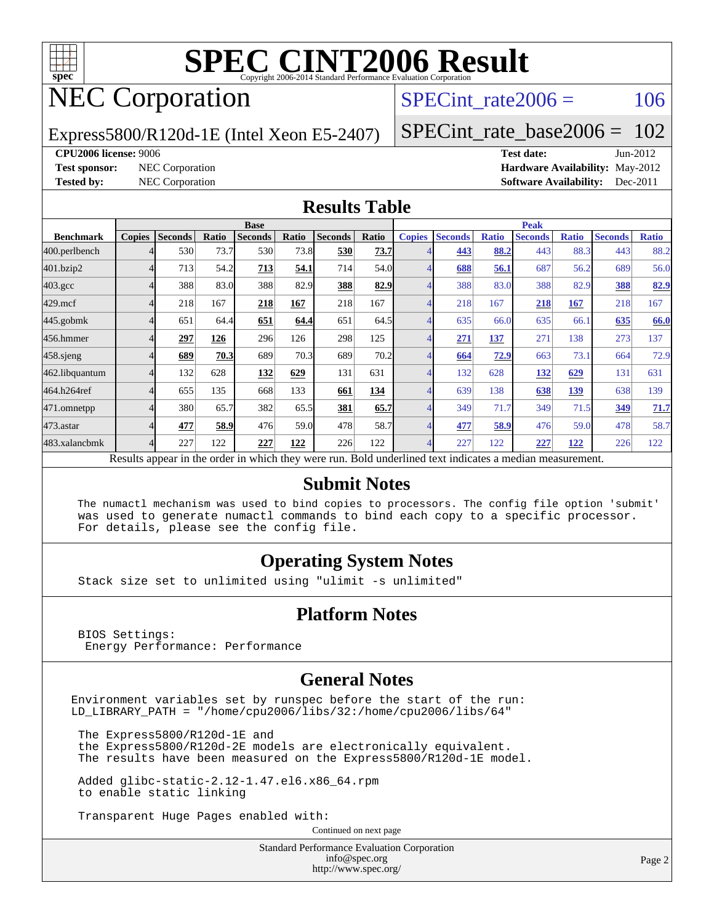

## NEC Corporation

SPECint rate $2006 = 106$ 

Express5800/R120d-1E (Intel Xeon E5-2407)

[SPECint\\_rate\\_base2006 =](http://www.spec.org/auto/cpu2006/Docs/result-fields.html#SPECintratebase2006) 102

#### **[CPU2006 license:](http://www.spec.org/auto/cpu2006/Docs/result-fields.html#CPU2006license)** 9006 **[Test date:](http://www.spec.org/auto/cpu2006/Docs/result-fields.html#Testdate)** Jun-2012

**[Test sponsor:](http://www.spec.org/auto/cpu2006/Docs/result-fields.html#Testsponsor)** NEC Corporation **[Hardware Availability:](http://www.spec.org/auto/cpu2006/Docs/result-fields.html#HardwareAvailability)** May-2012 **[Tested by:](http://www.spec.org/auto/cpu2006/Docs/result-fields.html#Testedby)** NEC Corporation **[Software Availability:](http://www.spec.org/auto/cpu2006/Docs/result-fields.html#SoftwareAvailability)** Dec-2011

#### **[Results Table](http://www.spec.org/auto/cpu2006/Docs/result-fields.html#ResultsTable)**

|                                                                                                          | <b>Base</b>   |                |       |                |       |                |       | <b>Peak</b>   |                |              |                |              |                |              |
|----------------------------------------------------------------------------------------------------------|---------------|----------------|-------|----------------|-------|----------------|-------|---------------|----------------|--------------|----------------|--------------|----------------|--------------|
| <b>Benchmark</b>                                                                                         | <b>Copies</b> | <b>Seconds</b> | Ratio | <b>Seconds</b> | Ratio | <b>Seconds</b> | Ratio | <b>Copies</b> | <b>Seconds</b> | <b>Ratio</b> | <b>Seconds</b> | <b>Ratio</b> | <b>Seconds</b> | <b>Ratio</b> |
| 400.perlbench                                                                                            |               | 530            | 73.7  | 530            | 73.8  | 530            | 73.7  |               | 443            | 88.2         | 443            | 88.3         | 443            | 88.2         |
| 401.bzip2                                                                                                |               | 713            | 54.2  | 713            | 54.1  | 714            | 54.0  |               | 688            | 56.1         | 687            | 56.2         | 689            | 56.0         |
| $403.\text{gcc}$                                                                                         |               | 388            | 83.0  | 388            | 82.9  | 388            | 82.9  |               | 388            | 83.0         | 388            | 82.9         | 388            | 82.9         |
| $429$ .mcf                                                                                               |               | 218            | 167   | 218            | 167   | 218            | 167   |               | 218            | 167          | 218            | 167          | 218            | 167          |
| $445$ .gobmk                                                                                             |               | 651            | 64.4  | 651            | 64.4  | 651            | 64.5  |               | 635            | 66.0         | 635            | 66.1         | 635            | 66.0         |
| 456.hmmer                                                                                                |               | 297            | 126   | 296            | 126   | 298            | 125   |               | 271            | <u>137</u>   | 271            | 138          | 273            | 137          |
| $458$ .sjeng                                                                                             |               | 689            | 70.3  | 689            | 70.3  | 689            | 70.2  |               | 664            | 72.9         | 663            | 73.1         | 664            | 72.9         |
| 462.libquantum                                                                                           |               | 132            | 628   | 132            | 629   | 131            | 631   |               | 132            | 628          | <u>132</u>     | 629          | 131            | 631          |
| 464.h264ref                                                                                              |               | 655            | 135   | 668            | 133   | 661            | 134   |               | 639            | 138          | 638            | 139          | 638            | 139          |
| 471.omnetpp                                                                                              |               | 380            | 65.7  | 382            | 65.5  | 381            | 65.7  |               | 349            | 71.7         | 349            | 71.5         | 349            | 71.7         |
| 473.astar                                                                                                |               | 477            | 58.9  | 476            | 59.0  | 478            | 58.7  |               | 477            | 58.9         | 476            | 59.0         | 478            | 58.7         |
| 483.xalancbmk                                                                                            |               | 227            | 122   | 227            | 122   | 226            | 122   |               | 227            | 122          | 227            | 122          | 226            | 122          |
| Results appear in the order in which they were run. Bold underlined text indicates a median measurement. |               |                |       |                |       |                |       |               |                |              |                |              |                |              |

#### **[Submit Notes](http://www.spec.org/auto/cpu2006/Docs/result-fields.html#SubmitNotes)**

 The numactl mechanism was used to bind copies to processors. The config file option 'submit' was used to generate numactl commands to bind each copy to a specific processor. For details, please see the config file.

#### **[Operating System Notes](http://www.spec.org/auto/cpu2006/Docs/result-fields.html#OperatingSystemNotes)**

Stack size set to unlimited using "ulimit -s unlimited"

#### **[Platform Notes](http://www.spec.org/auto/cpu2006/Docs/result-fields.html#PlatformNotes)**

 BIOS Settings: Energy Performance: Performance

#### **[General Notes](http://www.spec.org/auto/cpu2006/Docs/result-fields.html#GeneralNotes)**

Environment variables set by runspec before the start of the run: LD\_LIBRARY\_PATH = "/home/cpu2006/libs/32:/home/cpu2006/libs/64"

 The Express5800/R120d-1E and the Express5800/R120d-2E models are electronically equivalent. The results have been measured on the Express5800/R120d-1E model.

 Added glibc-static-2.12-1.47.el6.x86\_64.rpm to enable static linking

Transparent Huge Pages enabled with:

Continued on next page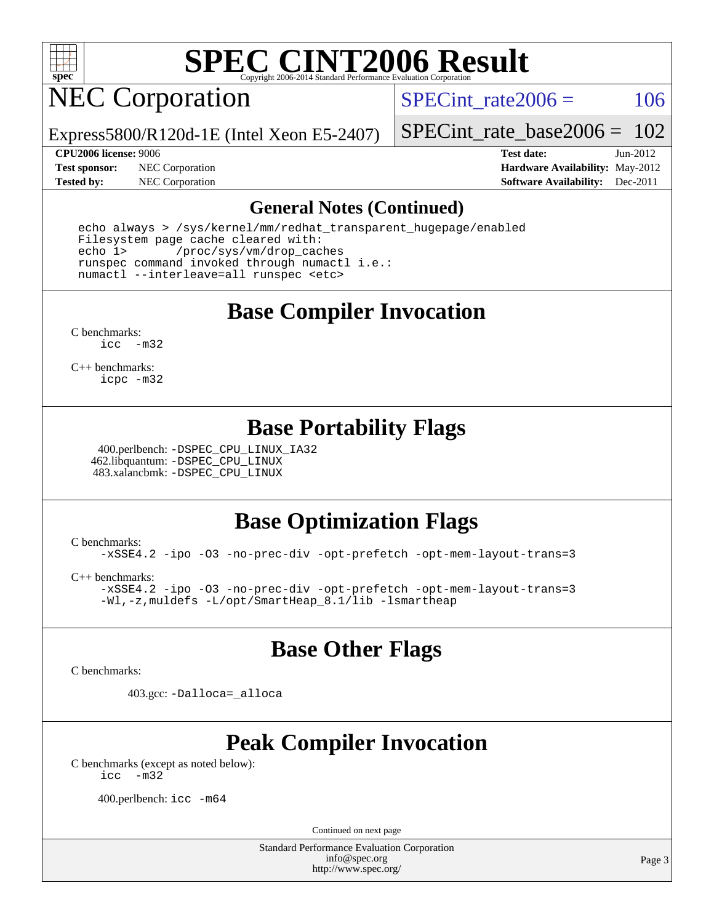

## NEC Corporation

SPECint rate $2006 = 106$ 

Express5800/R120d-1E (Intel Xeon E5-2407)

[SPECint\\_rate\\_base2006 =](http://www.spec.org/auto/cpu2006/Docs/result-fields.html#SPECintratebase2006) 102

**[Test sponsor:](http://www.spec.org/auto/cpu2006/Docs/result-fields.html#Testsponsor)** NEC Corporation **[Hardware Availability:](http://www.spec.org/auto/cpu2006/Docs/result-fields.html#HardwareAvailability)** May-2012

**[CPU2006 license:](http://www.spec.org/auto/cpu2006/Docs/result-fields.html#CPU2006license)** 9006 **[Test date:](http://www.spec.org/auto/cpu2006/Docs/result-fields.html#Testdate)** Jun-2012 **[Tested by:](http://www.spec.org/auto/cpu2006/Docs/result-fields.html#Testedby)** NEC Corporation **[Software Availability:](http://www.spec.org/auto/cpu2006/Docs/result-fields.html#SoftwareAvailability)** Dec-2011

#### **[General Notes \(Continued\)](http://www.spec.org/auto/cpu2006/Docs/result-fields.html#GeneralNotes)**

 echo always > /sys/kernel/mm/redhat\_transparent\_hugepage/enabled Filesystem page cache cleared with: echo 1> /proc/sys/vm/drop\_caches runspec command invoked through numactl i.e.: numactl --interleave=all runspec <etc>

**[Base Compiler Invocation](http://www.spec.org/auto/cpu2006/Docs/result-fields.html#BaseCompilerInvocation)**

[C benchmarks](http://www.spec.org/auto/cpu2006/Docs/result-fields.html#Cbenchmarks): [icc -m32](http://www.spec.org/cpu2006/results/res2012q3/cpu2006-20120701-23293.flags.html#user_CCbase_intel_icc_5ff4a39e364c98233615fdd38438c6f2)

[C++ benchmarks:](http://www.spec.org/auto/cpu2006/Docs/result-fields.html#CXXbenchmarks) [icpc -m32](http://www.spec.org/cpu2006/results/res2012q3/cpu2006-20120701-23293.flags.html#user_CXXbase_intel_icpc_4e5a5ef1a53fd332b3c49e69c3330699)

### **[Base Portability Flags](http://www.spec.org/auto/cpu2006/Docs/result-fields.html#BasePortabilityFlags)**

 400.perlbench: [-DSPEC\\_CPU\\_LINUX\\_IA32](http://www.spec.org/cpu2006/results/res2012q3/cpu2006-20120701-23293.flags.html#b400.perlbench_baseCPORTABILITY_DSPEC_CPU_LINUX_IA32) 462.libquantum: [-DSPEC\\_CPU\\_LINUX](http://www.spec.org/cpu2006/results/res2012q3/cpu2006-20120701-23293.flags.html#b462.libquantum_baseCPORTABILITY_DSPEC_CPU_LINUX) 483.xalancbmk: [-DSPEC\\_CPU\\_LINUX](http://www.spec.org/cpu2006/results/res2012q3/cpu2006-20120701-23293.flags.html#b483.xalancbmk_baseCXXPORTABILITY_DSPEC_CPU_LINUX)

### **[Base Optimization Flags](http://www.spec.org/auto/cpu2006/Docs/result-fields.html#BaseOptimizationFlags)**

[C benchmarks](http://www.spec.org/auto/cpu2006/Docs/result-fields.html#Cbenchmarks): [-xSSE4.2](http://www.spec.org/cpu2006/results/res2012q3/cpu2006-20120701-23293.flags.html#user_CCbase_f-xSSE42_f91528193cf0b216347adb8b939d4107) [-ipo](http://www.spec.org/cpu2006/results/res2012q3/cpu2006-20120701-23293.flags.html#user_CCbase_f-ipo) [-O3](http://www.spec.org/cpu2006/results/res2012q3/cpu2006-20120701-23293.flags.html#user_CCbase_f-O3) [-no-prec-div](http://www.spec.org/cpu2006/results/res2012q3/cpu2006-20120701-23293.flags.html#user_CCbase_f-no-prec-div) [-opt-prefetch](http://www.spec.org/cpu2006/results/res2012q3/cpu2006-20120701-23293.flags.html#user_CCbase_f-opt-prefetch) [-opt-mem-layout-trans=3](http://www.spec.org/cpu2006/results/res2012q3/cpu2006-20120701-23293.flags.html#user_CCbase_f-opt-mem-layout-trans_a7b82ad4bd7abf52556d4961a2ae94d5)

[C++ benchmarks:](http://www.spec.org/auto/cpu2006/Docs/result-fields.html#CXXbenchmarks) [-xSSE4.2](http://www.spec.org/cpu2006/results/res2012q3/cpu2006-20120701-23293.flags.html#user_CXXbase_f-xSSE42_f91528193cf0b216347adb8b939d4107) [-ipo](http://www.spec.org/cpu2006/results/res2012q3/cpu2006-20120701-23293.flags.html#user_CXXbase_f-ipo) [-O3](http://www.spec.org/cpu2006/results/res2012q3/cpu2006-20120701-23293.flags.html#user_CXXbase_f-O3) [-no-prec-div](http://www.spec.org/cpu2006/results/res2012q3/cpu2006-20120701-23293.flags.html#user_CXXbase_f-no-prec-div) [-opt-prefetch](http://www.spec.org/cpu2006/results/res2012q3/cpu2006-20120701-23293.flags.html#user_CXXbase_f-opt-prefetch) [-opt-mem-layout-trans=3](http://www.spec.org/cpu2006/results/res2012q3/cpu2006-20120701-23293.flags.html#user_CXXbase_f-opt-mem-layout-trans_a7b82ad4bd7abf52556d4961a2ae94d5) [-Wl,-z,muldefs](http://www.spec.org/cpu2006/results/res2012q3/cpu2006-20120701-23293.flags.html#user_CXXbase_link_force_multiple1_74079c344b956b9658436fd1b6dd3a8a) [-L/opt/SmartHeap\\_8.1/lib -lsmartheap](http://www.spec.org/cpu2006/results/res2012q3/cpu2006-20120701-23293.flags.html#user_CXXbase_SmartHeap_d5ba4dfc9de25d3c657c7de7476e66c5)

### **[Base Other Flags](http://www.spec.org/auto/cpu2006/Docs/result-fields.html#BaseOtherFlags)**

[C benchmarks](http://www.spec.org/auto/cpu2006/Docs/result-fields.html#Cbenchmarks):

403.gcc: [-Dalloca=\\_alloca](http://www.spec.org/cpu2006/results/res2012q3/cpu2006-20120701-23293.flags.html#b403.gcc_baseEXTRA_CFLAGS_Dalloca_be3056838c12de2578596ca5467af7f3)

## **[Peak Compiler Invocation](http://www.spec.org/auto/cpu2006/Docs/result-fields.html#PeakCompilerInvocation)**

[C benchmarks \(except as noted below\)](http://www.spec.org/auto/cpu2006/Docs/result-fields.html#Cbenchmarksexceptasnotedbelow): [icc -m32](http://www.spec.org/cpu2006/results/res2012q3/cpu2006-20120701-23293.flags.html#user_CCpeak_intel_icc_5ff4a39e364c98233615fdd38438c6f2)

400.perlbench: [icc -m64](http://www.spec.org/cpu2006/results/res2012q3/cpu2006-20120701-23293.flags.html#user_peakCCLD400_perlbench_intel_icc_64bit_bda6cc9af1fdbb0edc3795bac97ada53)

Continued on next page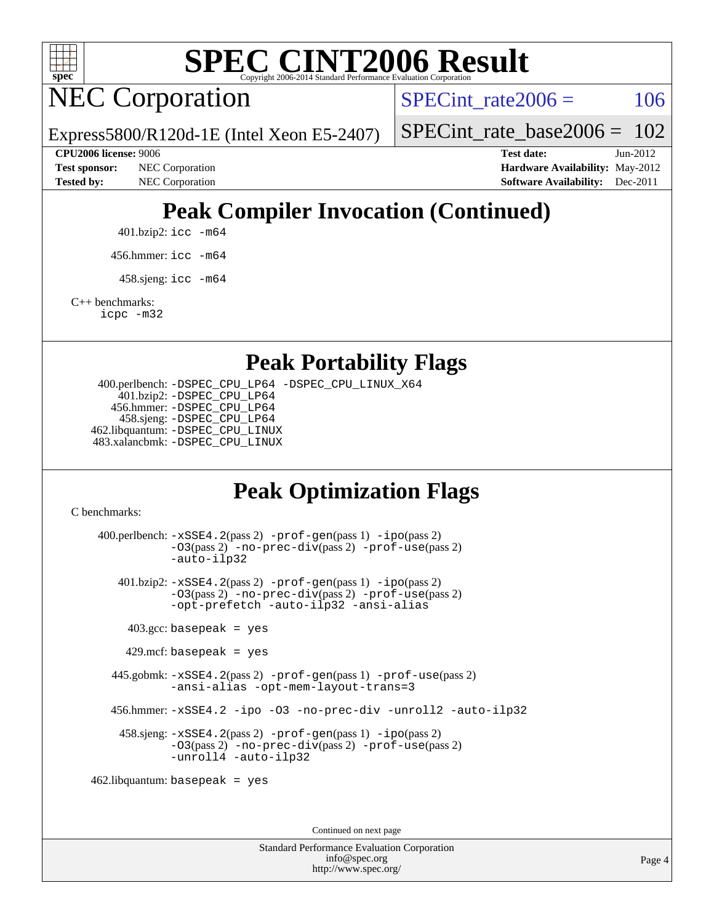

NEC Corporation

SPECint rate $2006 = 106$ 

[SPECint\\_rate\\_base2006 =](http://www.spec.org/auto/cpu2006/Docs/result-fields.html#SPECintratebase2006) 102

**[Test sponsor:](http://www.spec.org/auto/cpu2006/Docs/result-fields.html#Testsponsor)** NEC Corporation **[Hardware Availability:](http://www.spec.org/auto/cpu2006/Docs/result-fields.html#HardwareAvailability)** May-2012

**[CPU2006 license:](http://www.spec.org/auto/cpu2006/Docs/result-fields.html#CPU2006license)** 9006 **[Test date:](http://www.spec.org/auto/cpu2006/Docs/result-fields.html#Testdate)** Jun-2012 **[Tested by:](http://www.spec.org/auto/cpu2006/Docs/result-fields.html#Testedby)** NEC Corporation **[Software Availability:](http://www.spec.org/auto/cpu2006/Docs/result-fields.html#SoftwareAvailability)** Dec-2011

## **[Peak Compiler Invocation \(Continued\)](http://www.spec.org/auto/cpu2006/Docs/result-fields.html#PeakCompilerInvocation)**

401.bzip2: [icc -m64](http://www.spec.org/cpu2006/results/res2012q3/cpu2006-20120701-23293.flags.html#user_peakCCLD401_bzip2_intel_icc_64bit_bda6cc9af1fdbb0edc3795bac97ada53)

Express5800/R120d-1E (Intel Xeon E5-2407)

456.hmmer: [icc -m64](http://www.spec.org/cpu2006/results/res2012q3/cpu2006-20120701-23293.flags.html#user_peakCCLD456_hmmer_intel_icc_64bit_bda6cc9af1fdbb0edc3795bac97ada53)

 $458 \text{.}$ sjeng: icc  $-\text{m64}$ 

[C++ benchmarks:](http://www.spec.org/auto/cpu2006/Docs/result-fields.html#CXXbenchmarks)

[icpc -m32](http://www.spec.org/cpu2006/results/res2012q3/cpu2006-20120701-23293.flags.html#user_CXXpeak_intel_icpc_4e5a5ef1a53fd332b3c49e69c3330699)

**[Peak Portability Flags](http://www.spec.org/auto/cpu2006/Docs/result-fields.html#PeakPortabilityFlags)**

 400.perlbench: [-DSPEC\\_CPU\\_LP64](http://www.spec.org/cpu2006/results/res2012q3/cpu2006-20120701-23293.flags.html#b400.perlbench_peakCPORTABILITY_DSPEC_CPU_LP64) [-DSPEC\\_CPU\\_LINUX\\_X64](http://www.spec.org/cpu2006/results/res2012q3/cpu2006-20120701-23293.flags.html#b400.perlbench_peakCPORTABILITY_DSPEC_CPU_LINUX_X64) 401.bzip2: [-DSPEC\\_CPU\\_LP64](http://www.spec.org/cpu2006/results/res2012q3/cpu2006-20120701-23293.flags.html#suite_peakCPORTABILITY401_bzip2_DSPEC_CPU_LP64) 456.hmmer: [-DSPEC\\_CPU\\_LP64](http://www.spec.org/cpu2006/results/res2012q3/cpu2006-20120701-23293.flags.html#suite_peakCPORTABILITY456_hmmer_DSPEC_CPU_LP64) 458.sjeng: [-DSPEC\\_CPU\\_LP64](http://www.spec.org/cpu2006/results/res2012q3/cpu2006-20120701-23293.flags.html#suite_peakCPORTABILITY458_sjeng_DSPEC_CPU_LP64) 462.libquantum: [-DSPEC\\_CPU\\_LINUX](http://www.spec.org/cpu2006/results/res2012q3/cpu2006-20120701-23293.flags.html#b462.libquantum_peakCPORTABILITY_DSPEC_CPU_LINUX) 483.xalancbmk: [-DSPEC\\_CPU\\_LINUX](http://www.spec.org/cpu2006/results/res2012q3/cpu2006-20120701-23293.flags.html#b483.xalancbmk_peakCXXPORTABILITY_DSPEC_CPU_LINUX)

## **[Peak Optimization Flags](http://www.spec.org/auto/cpu2006/Docs/result-fields.html#PeakOptimizationFlags)**

[C benchmarks](http://www.spec.org/auto/cpu2006/Docs/result-fields.html#Cbenchmarks):

 400.perlbench: [-xSSE4.2](http://www.spec.org/cpu2006/results/res2012q3/cpu2006-20120701-23293.flags.html#user_peakPASS2_CFLAGSPASS2_LDCFLAGS400_perlbench_f-xSSE42_f91528193cf0b216347adb8b939d4107)(pass 2) [-prof-gen](http://www.spec.org/cpu2006/results/res2012q3/cpu2006-20120701-23293.flags.html#user_peakPASS1_CFLAGSPASS1_LDCFLAGS400_perlbench_prof_gen_e43856698f6ca7b7e442dfd80e94a8fc)(pass 1) [-ipo](http://www.spec.org/cpu2006/results/res2012q3/cpu2006-20120701-23293.flags.html#user_peakPASS2_CFLAGSPASS2_LDCFLAGS400_perlbench_f-ipo)(pass 2) [-O3](http://www.spec.org/cpu2006/results/res2012q3/cpu2006-20120701-23293.flags.html#user_peakPASS2_CFLAGSPASS2_LDCFLAGS400_perlbench_f-O3)(pass 2) [-no-prec-div](http://www.spec.org/cpu2006/results/res2012q3/cpu2006-20120701-23293.flags.html#user_peakPASS2_CFLAGSPASS2_LDCFLAGS400_perlbench_f-no-prec-div)(pass 2) [-prof-use](http://www.spec.org/cpu2006/results/res2012q3/cpu2006-20120701-23293.flags.html#user_peakPASS2_CFLAGSPASS2_LDCFLAGS400_perlbench_prof_use_bccf7792157ff70d64e32fe3e1250b55)(pass 2) [-auto-ilp32](http://www.spec.org/cpu2006/results/res2012q3/cpu2006-20120701-23293.flags.html#user_peakCOPTIMIZE400_perlbench_f-auto-ilp32) 401.bzip2: [-xSSE4.2](http://www.spec.org/cpu2006/results/res2012q3/cpu2006-20120701-23293.flags.html#user_peakPASS2_CFLAGSPASS2_LDCFLAGS401_bzip2_f-xSSE42_f91528193cf0b216347adb8b939d4107)(pass 2) [-prof-gen](http://www.spec.org/cpu2006/results/res2012q3/cpu2006-20120701-23293.flags.html#user_peakPASS1_CFLAGSPASS1_LDCFLAGS401_bzip2_prof_gen_e43856698f6ca7b7e442dfd80e94a8fc)(pass 1) [-ipo](http://www.spec.org/cpu2006/results/res2012q3/cpu2006-20120701-23293.flags.html#user_peakPASS2_CFLAGSPASS2_LDCFLAGS401_bzip2_f-ipo)(pass 2) [-O3](http://www.spec.org/cpu2006/results/res2012q3/cpu2006-20120701-23293.flags.html#user_peakPASS2_CFLAGSPASS2_LDCFLAGS401_bzip2_f-O3)(pass 2) [-no-prec-div](http://www.spec.org/cpu2006/results/res2012q3/cpu2006-20120701-23293.flags.html#user_peakPASS2_CFLAGSPASS2_LDCFLAGS401_bzip2_f-no-prec-div)(pass 2) [-prof-use](http://www.spec.org/cpu2006/results/res2012q3/cpu2006-20120701-23293.flags.html#user_peakPASS2_CFLAGSPASS2_LDCFLAGS401_bzip2_prof_use_bccf7792157ff70d64e32fe3e1250b55)(pass 2) [-opt-prefetch](http://www.spec.org/cpu2006/results/res2012q3/cpu2006-20120701-23293.flags.html#user_peakCOPTIMIZE401_bzip2_f-opt-prefetch) [-auto-ilp32](http://www.spec.org/cpu2006/results/res2012q3/cpu2006-20120701-23293.flags.html#user_peakCOPTIMIZE401_bzip2_f-auto-ilp32) [-ansi-alias](http://www.spec.org/cpu2006/results/res2012q3/cpu2006-20120701-23293.flags.html#user_peakCOPTIMIZE401_bzip2_f-ansi-alias)  $403.\text{gcc: basepeak}$  = yes  $429$ .mcf: basepeak = yes 445.gobmk: [-xSSE4.2](http://www.spec.org/cpu2006/results/res2012q3/cpu2006-20120701-23293.flags.html#user_peakPASS2_CFLAGSPASS2_LDCFLAGS445_gobmk_f-xSSE42_f91528193cf0b216347adb8b939d4107)(pass 2) [-prof-gen](http://www.spec.org/cpu2006/results/res2012q3/cpu2006-20120701-23293.flags.html#user_peakPASS1_CFLAGSPASS1_LDCFLAGS445_gobmk_prof_gen_e43856698f6ca7b7e442dfd80e94a8fc)(pass 1) [-prof-use](http://www.spec.org/cpu2006/results/res2012q3/cpu2006-20120701-23293.flags.html#user_peakPASS2_CFLAGSPASS2_LDCFLAGS445_gobmk_prof_use_bccf7792157ff70d64e32fe3e1250b55)(pass 2) [-ansi-alias](http://www.spec.org/cpu2006/results/res2012q3/cpu2006-20120701-23293.flags.html#user_peakCOPTIMIZE445_gobmk_f-ansi-alias) [-opt-mem-layout-trans=3](http://www.spec.org/cpu2006/results/res2012q3/cpu2006-20120701-23293.flags.html#user_peakCOPTIMIZE445_gobmk_f-opt-mem-layout-trans_a7b82ad4bd7abf52556d4961a2ae94d5) 456.hmmer: [-xSSE4.2](http://www.spec.org/cpu2006/results/res2012q3/cpu2006-20120701-23293.flags.html#user_peakCOPTIMIZE456_hmmer_f-xSSE42_f91528193cf0b216347adb8b939d4107) [-ipo](http://www.spec.org/cpu2006/results/res2012q3/cpu2006-20120701-23293.flags.html#user_peakCOPTIMIZE456_hmmer_f-ipo) [-O3](http://www.spec.org/cpu2006/results/res2012q3/cpu2006-20120701-23293.flags.html#user_peakCOPTIMIZE456_hmmer_f-O3) [-no-prec-div](http://www.spec.org/cpu2006/results/res2012q3/cpu2006-20120701-23293.flags.html#user_peakCOPTIMIZE456_hmmer_f-no-prec-div) [-unroll2](http://www.spec.org/cpu2006/results/res2012q3/cpu2006-20120701-23293.flags.html#user_peakCOPTIMIZE456_hmmer_f-unroll_784dae83bebfb236979b41d2422d7ec2) [-auto-ilp32](http://www.spec.org/cpu2006/results/res2012q3/cpu2006-20120701-23293.flags.html#user_peakCOPTIMIZE456_hmmer_f-auto-ilp32) 458.sjeng: [-xSSE4.2](http://www.spec.org/cpu2006/results/res2012q3/cpu2006-20120701-23293.flags.html#user_peakPASS2_CFLAGSPASS2_LDCFLAGS458_sjeng_f-xSSE42_f91528193cf0b216347adb8b939d4107)(pass 2) [-prof-gen](http://www.spec.org/cpu2006/results/res2012q3/cpu2006-20120701-23293.flags.html#user_peakPASS1_CFLAGSPASS1_LDCFLAGS458_sjeng_prof_gen_e43856698f6ca7b7e442dfd80e94a8fc)(pass 1) [-ipo](http://www.spec.org/cpu2006/results/res2012q3/cpu2006-20120701-23293.flags.html#user_peakPASS2_CFLAGSPASS2_LDCFLAGS458_sjeng_f-ipo)(pass 2) [-O3](http://www.spec.org/cpu2006/results/res2012q3/cpu2006-20120701-23293.flags.html#user_peakPASS2_CFLAGSPASS2_LDCFLAGS458_sjeng_f-O3)(pass 2) [-no-prec-div](http://www.spec.org/cpu2006/results/res2012q3/cpu2006-20120701-23293.flags.html#user_peakPASS2_CFLAGSPASS2_LDCFLAGS458_sjeng_f-no-prec-div)(pass 2) [-prof-use](http://www.spec.org/cpu2006/results/res2012q3/cpu2006-20120701-23293.flags.html#user_peakPASS2_CFLAGSPASS2_LDCFLAGS458_sjeng_prof_use_bccf7792157ff70d64e32fe3e1250b55)(pass 2) [-unroll4](http://www.spec.org/cpu2006/results/res2012q3/cpu2006-20120701-23293.flags.html#user_peakCOPTIMIZE458_sjeng_f-unroll_4e5e4ed65b7fd20bdcd365bec371b81f) [-auto-ilp32](http://www.spec.org/cpu2006/results/res2012q3/cpu2006-20120701-23293.flags.html#user_peakCOPTIMIZE458_sjeng_f-auto-ilp32) 462.libquantum: basepeak = yes

Continued on next page